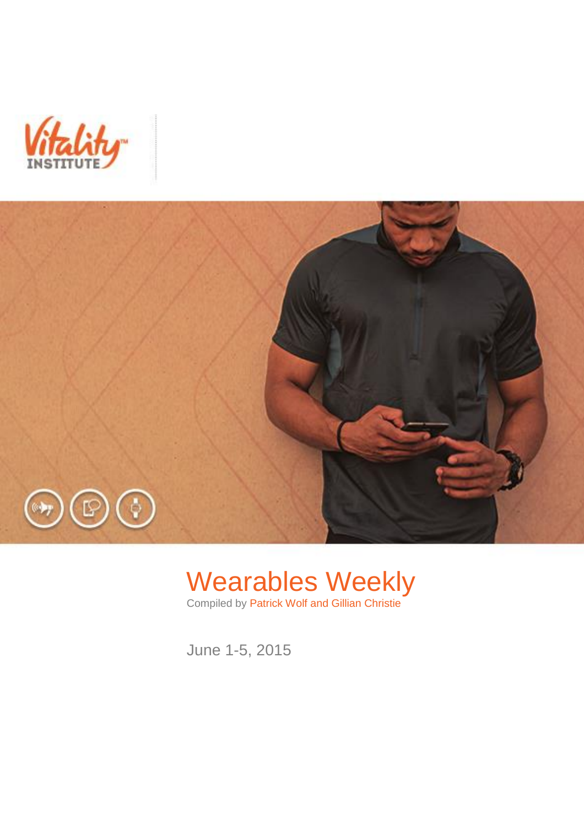



# Wearables Weekly

Compiled by Patrick Wolf and Gillian Christie

June 1-5, 2015